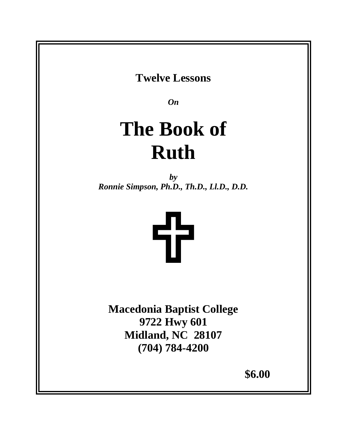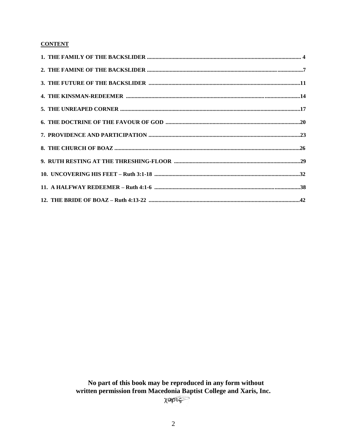# **CONTENT**

No part of this book may be reproduced in any form without written permission from Macedonia Baptist College and Xaris, Inc. XOPIS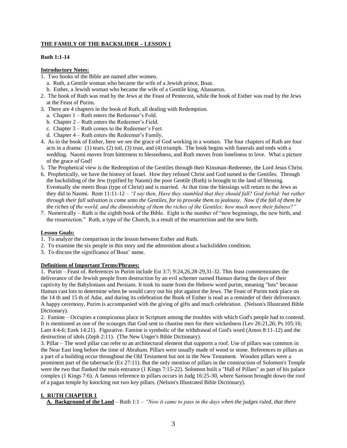## **THE FAMILY OF THE BACKSLIDER – LESSON 1**

#### **Ruth 1:1-14**

### **Introductory Notes:**

- 1. Two books of the Bible are named after women.
	- a. Ruth, a Gentile woman who became the wife of a Jewish prince, Boaz.
	- b. Esther, a Jewish woman who became the wife of a Gentile king, Ahasuerus.
- 2. The book of Ruth was read by the Jews at the Feast of Pentecost, while the book of Esther was read by the Jews at the Feast of Purim.
- 3. There are 4 chapters in the book of Ruth, all dealing with Redemption.
	- a. Chapter 1 Ruth enters the Redeemer's Fold.
	- b. Chapter 2 Ruth enters the Redeemer's Field.
	- c. Chapter 3 Ruth comes to the Redeemer's Feet.
	- d. Chapter 4 Ruth enters the Redeemer's Family.
- 4. As in the book of Esther, here we see the grace of God working in a woman. The four chapters of Ruth are four acts in a drama: (1) tears, (2) toil, (3) trust, and (4) triumph. The book begins with funerals and ends with a wedding. Naomi moves from bitterness to blessedness, and Ruth moves from loneliness to love. What a picture of the grace of God!
- 5. The Prophetical view is the Redemption of the Gentiles through their Kinsman-Redeemer, the Lord Jesus Christ.
- 6. Prophetically, we have the history of Israel. How they refused Christ and God turned to the Gentiles. Through the backsliding of the Jew (typified by Naomi) the poor Gentile (Ruth) is brought to the land of blessing. Eventually she meets Boaz (type of Christ) and is married. At that time the blessings will return to the Jews as they did to Naomi. Rom 11:11-12 – *"I say then, Have they stumbled that they should fall? God forbid: but rather through their fall salvation is come unto the Gentiles, for to provoke them to jealousy. Now if the fall of them be the riches of the world, and the diminishing of them the riches of the Gentiles; how much more their fulness?"*
- 7. Numerically Ruth is the eighth book of the Bible. Eight is the number of "new beginnings, the new birth, and the resurrection." Ruth, a type of the Church, is a result of the resurrection and the new birth.

#### **Lesson Goals:**

- 1. To analyze the comparison in the lesson between Esther and Ruth.
- 2. To examine the six people in this story and the admonition about a backslidden condition.
- 3. To discuss the significance of Boaz' name.

#### **Definitions of Important Terms/Phrases:**

1. Purim – Feast of. References to Purim include Est 3:7; 9:24,26,28-29,31-32. This feast commemorates the deliverance of the Jewish people from destruction by an evil schemer named Haman during the days of their captivity by the Babylonians and Persians. It took its name from the Hebrew word purim, meaning "lots" because Haman cast lots to determine when he would carry out his plot against the Jews. The Feast of Purim took place on the 14 th and 15 th of Adar, and during its celebration the Book of Esther is read as a reminder of their deliverance. A happy ceremony, Purim is accompanied with the giving of gifts and much celebration. (Nelson's Illustrated Bible Dictionary).

2. Famine – Occupies a conspicuous place in Scripture among the troubles with which God's people had to contend. It is mentioned as one of the scourges that God sent to chastise men for their wickedness (Lev 26:21,26; Ps 105:16; Lam 4:4-6; Ezek 14:21). Figurative. Famine is symbolic of the withdrawal of God's word (Amos 8:11-12) and the destruction of idols (Zeph 2:11). (The New Unger's Bible Dictionary).

3. Pillar – The word pillar can refer to an architectural element that supports a roof. Use of pillars was common in the Near East long before the time of Abraham. Pillars were usually made of wood or stone. References to pillars as a part of a building occur throughout the Old Testament but not in the New Testament. Wooden pillars were a prominent part of the tabernacle (Ex 27:11). But the only mention of pillars in the construction of Solomon's Temple were the two that flanked the main entrance (1 Kings 7:15-22). Solomon built a "Hall of Pillars" as part of his palace complex (1 Kings 7:6). A famous reference to pillars occurs in Judg 16:25-30, where Samson brought down the roof of a pagan temple by knocking out two key pillars. (Nelson's Illustrated Bible Dictionary).

### **I. RUTH CHAPTER 1**

**A. Background of the Land** – Ruth 1:1 – *"Now it came to pass in the days when the judges ruled, that there*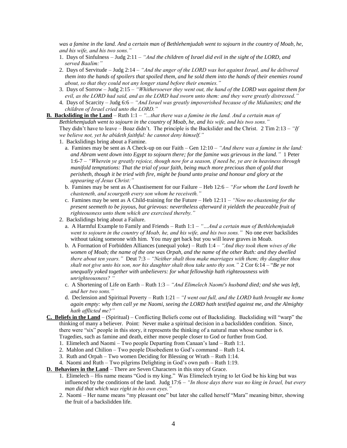*was a famine in the land. And a certain man of Bethlehemjudah went to sojourn in the country of Moab, he, and his wife, and his two sons."*

- 1. Days of Sinfulness Judg 2:11 *"And the children of Israel did evil in the sight of the LORD, and served Baalim:"*
- 2. Days of Servitude Judg 2:14 *"And the anger of the LORD was hot against Israel, and he delivered them into the hands of spoilers that spoiled them, and he sold them into the hands of their enemies round about, so that they could not any longer stand before their enemies."*
- 3. Days of Sorrow Judg 2:15 *"Whithersoever they went out, the hand of the LORD was against them for evil, as the LORD had said, and as the LORD had sworn unto them: and they were greatly distressed."*
- 4. Days of Scarcity Judg 6:6 *"And Israel was greatly impoverished because of the Midianites; and the children of Israel cried unto the LORD."*
- **B. Backsliding in the Land** Ruth 1:1 *"...that there was a famine in the land. And a certain man of Bethlehemjudah went to sojourn in the country of Moab, he, and his wife, and his two sons."* They didn't have to leave – Boaz didn't. The principle is the Backslider and the Christ. 2 Tim 2:13 – *"If we believe not, yet he abideth faithful: he cannot deny himself."*
	- 1. Backslidings bring about a Famine.
		- a. Famines may be sent as A Check-up on our Faith Gen 12:10 *"And there was a famine in the land: and Abram went down into Egypt to sojourn there; for the famine was grievous in the land."* 1 Peter 1:6-7 – *"Wherein ye greatly rejoice, though now for a season, if need be, ye are in heaviness through manifold temptations: That the trial of your faith, being much more precious than of gold that perisheth, though it be tried with fire, might be found unto praise and honour and glory at the appearing of Jesus Christ:"*
		- b. Famines may be sent as A Chastisement for our Failure Heb 12:6 *"For whom the Lord loveth he chasteneth, and scourgeth every son whom he receiveth."*
		- c. Famines may be sent as A Child-training for the Future Heb 12:11 *"Now no chastening for the present seemeth to be joyous, but grievous: nevertheless afterward it yieldeth the peaceable fruit of righteousness unto them which are exercised thereby."*
	- 2. Backslidings bring about a Failure.
		- a. A Harmful Example to Family and Friends Ruth 1:1 *"…And a certain man of Bethlehemjudah went to sojourn in the country of Moab, he, and his wife, and his two sons."* No one ever backslides without taking someone with him. You may get back but you will leave graves in Moab.
		- b. A Formation of Forbidden Alliances (unequal yoke) Ruth 1:4 *"And they took them wives of the women of Moab; the name of the one was Orpah, and the name of the other Ruth: and they dwelled there about ten years."* Deut 7:3 – *"Neither shalt thou make marriages with them; thy daughter thou shalt not give unto his son, nor his daughter shalt thou take unto thy son."* 2 Cor 6:14 – "*Be ye not unequally yoked together with unbelievers: for what fellowship hath righteousness with unrighteousness? "*
		- c. A Shortening of Life on Earth Ruth 1:3 *"And Elimelech Naomi's husband died; and she was left, and her two sons."*
		- d. Declension and Spiritual Poverty Ruth 1:21 *"I went out full, and the LORD hath brought me home again empty: why then call ye me Naomi, seeing the LORD hath testified against me, and the Almighty hath afflicted me?"*
- **C. Beliefs in the Land** (Spiritual) Conflicting Beliefs come out of Backsliding. Backsliding will "warp" the thinking of many a believer. Point: Never make a spiritual decision in a backslidden condition. Since, there were "six" people in this story, it represents the thinking of a natural man whose number is 6. Tragedies, such as famine and death, either move people closer to God or further from God.
	- 1. Elimelech and Naomi Two people Departing from Canaan's land Ruth 1:1.
	- 2. Mahlon and Chilion Two people Disobedient to God's command Ruth 1:4.
	- 3. Ruth and Orpah Two women Deciding for Blessing or Wrath Ruth 1:14.
	- 4. Naomi and Ruth Two pilgrims Delighting in God's own path Ruth 1:19.
- **D. Behaviors in the Land** There are Seven Characters in this story of Grace.
	- 1. Elimelech His name means "God is my king." Was Elimelech trying to let God be his king but was influenced by the conditions of the land. Judg 17:6 – *"In those days there was no king in Israel, but every man did that which was right in his own eyes."*
	- 2. Naomi Her name means "my pleasant one" but later she called herself "Mara" meaning bitter, showing the fruit of a backslidden life.